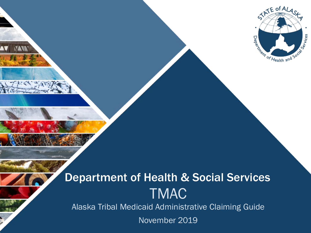

Alaska Tribal Medicaid Administrative Claiming Guide

November 2019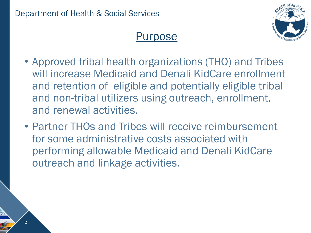$\mathfrak{D}$ 



### Purpose

- Approved tribal health organizations (THO) and Tribes will increase Medicaid and Denali KidCare enrollment and retention of eligible and potentially eligible tribal and non-tribal utilizers using outreach, enrollment, and renewal activities.
- Partner THOs and Tribes will receive reimbursement for some administrative costs associated with performing allowable Medicaid and Denali KidCare outreach and linkage activities.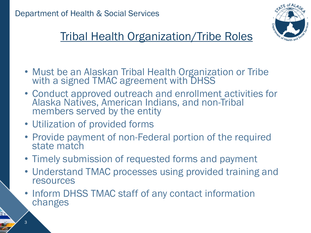

# Tribal Health Organization/Tribe Roles

- Must be an Alaskan Tribal Health Organization or Tribe with a signed TMAC agreement with DHSS
- Conduct approved outreach and enrollment activities for Alaska Natives, American Indians, and non-Tribal members served by the entity
- Utilization of provided forms
- Provide payment of non-Federal portion of the required state match
- Timely submission of requested forms and payment
- Understand TMAC processes using provided training and resources
- Inform DHSS TMAC staff of any contact information changes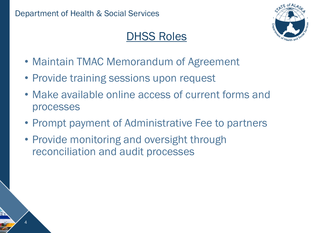4

# DHSS Roles



- Maintain TMAC Memorandum of Agreement
- Provide training sessions upon request
- Make available online access of current forms and processes
- Prompt payment of Administrative Fee to partners
- Provide monitoring and oversight through reconciliation and audit processes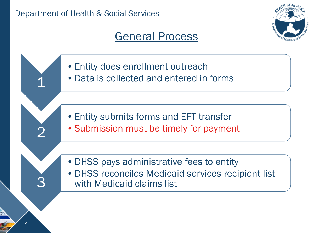### General Process



- •Entity does enrollment outreach
- •Data is collected and entered in forms

- •Entity submits forms and EFT transfer
- •Submission must be timely for payment
- •DHSS pays administrative fees to entity
- •DHSS reconciles Medicaid services recipient list with Medicaid claims list

1

2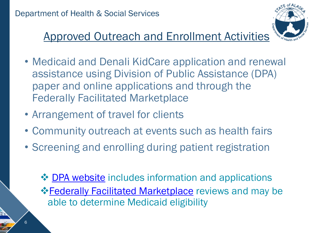

# Approved Outreach and Enrollment Activities

- Medicaid and Denali KidCare application and renewal assistance using Division of Public Assistance (DPA) paper and online applications and through the Federally Facilitated Marketplace
- Arrangement of travel for clients
- Community outreach at events such as health fairs
- Screening and enrolling during patient registration
	- $\triangle$  **[DPA website](http://dhss.alaska.gov/dpa/Pages/medicaid/default.aspx)** includes information and applications **Eederally Facilitated Marketplace reviews and may be** able to determine Medicaid eligibility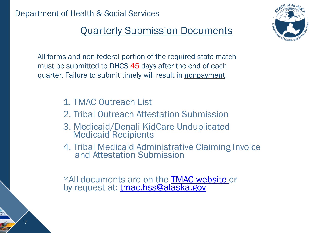7

#### Quarterly Submission Documents

All forms and non-federal portion of the required state match must be submitted to DHCS 45 days after the end of each quarter. Failure to submit timely will result in nonpayment.

- 1. TMAC Outreach List
- 2. Tribal Outreach Attestation Submission
- 3. Medicaid/Denali KidCare Unduplicated Medicaid Recipients
- 4. Tribal Medicaid Administrative Claiming Invoice and Attestation Submission

\*All documents are on the **TMAC website** or by request at: [tmac.hss@alaska.gov](mailto:tmac.hss@alaska.gov)

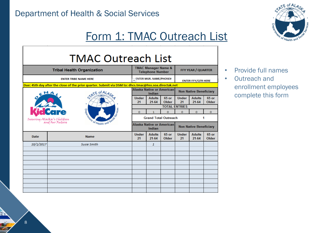## Form 1: TMAC Outreach List

| <b>TMAC Manager Name &amp;</b><br><b>Tribal Health Organization</b><br><b>Telephone Number</b><br><b>ENTER MGR. NAME/PHONE#</b><br><b>ENTER TRIBE NAME HERE</b> | <b>FFY YEAR / QUARTER</b>     |                                                 |                                                                                                       | <b>TMAC Outreach List</b> |       |  |  |  |  |
|-----------------------------------------------------------------------------------------------------------------------------------------------------------------|-------------------------------|-------------------------------------------------|-------------------------------------------------------------------------------------------------------|---------------------------|-------|--|--|--|--|
|                                                                                                                                                                 |                               |                                                 |                                                                                                       |                           |       |  |  |  |  |
|                                                                                                                                                                 |                               | <b>ENTER FFY/QTR HERE</b>                       |                                                                                                       |                           |       |  |  |  |  |
| Alaska Native or American<br>Indian                                                                                                                             | <b>Non Native Beneficiary</b> |                                                 |                                                                                                       |                           |       |  |  |  |  |
| 65 or<br><b>Under</b><br><b>Under</b><br><b>Adults</b><br><b>Adults</b><br>21<br>21<br>21-64<br>Older<br>21-64                                                  | 65 or                         |                                                 | Due: 45th day after the close of the prior quarter. Submit via DSM to: dhcs.tmac@hss.soa.directak.net |                           | Older |  |  |  |  |
| <b>TOTAL ENTRIES</b>                                                                                                                                            |                               | STATE OF ALA                                    |                                                                                                       |                           |       |  |  |  |  |
| $\Omega$<br>$\Omega$<br>$\Omega$<br>$\Omega$<br>1                                                                                                               |                               |                                                 |                                                                                                       |                           |       |  |  |  |  |
| <b>Grand Total Outreach</b><br>1<br>Insuring Alaska's Children                                                                                                  | $\Omega$                      |                                                 |                                                                                                       |                           |       |  |  |  |  |
|                                                                                                                                                                 |                               |                                                 |                                                                                                       |                           |       |  |  |  |  |
| <b>Alaska Native or American</b><br>Indian                                                                                                                      | <b>Non Native Beneficiary</b> | <b>ARRIVE OF Health and S</b><br>and Our Future |                                                                                                       |                           |       |  |  |  |  |
| <b>Under</b><br>65 or<br><b>Under</b><br><b>Adults</b><br><b>Adults</b><br><b>Date</b><br><b>Name</b><br>21<br>21-64<br>Older<br>21<br>21-64                    | 65 or<br>Older                |                                                 |                                                                                                       |                           |       |  |  |  |  |
| 10/1/2017<br><b>Susie Smith</b><br>$\mathbf{1}$                                                                                                                 |                               |                                                 |                                                                                                       |                           |       |  |  |  |  |
|                                                                                                                                                                 |                               |                                                 |                                                                                                       |                           |       |  |  |  |  |
|                                                                                                                                                                 |                               |                                                 |                                                                                                       |                           |       |  |  |  |  |
|                                                                                                                                                                 |                               |                                                 |                                                                                                       |                           |       |  |  |  |  |
|                                                                                                                                                                 |                               |                                                 |                                                                                                       |                           |       |  |  |  |  |
|                                                                                                                                                                 |                               |                                                 |                                                                                                       |                           |       |  |  |  |  |
|                                                                                                                                                                 |                               |                                                 |                                                                                                       |                           |       |  |  |  |  |
|                                                                                                                                                                 |                               |                                                 |                                                                                                       |                           |       |  |  |  |  |
|                                                                                                                                                                 |                               |                                                 |                                                                                                       |                           |       |  |  |  |  |
|                                                                                                                                                                 |                               |                                                 |                                                                                                       |                           |       |  |  |  |  |



- Provide full names
- Outreach and enrollment employees complete this form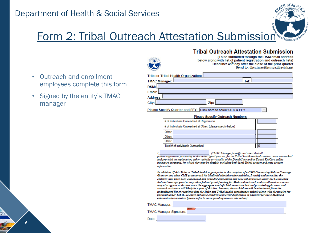

### Form 2: Tribal Outreach Attestation Submission

- Outreach and enrollment employees complete this form
- Signed by the entity's TMAC manager

9



(To be submitted through the DSM email address below along with list of patient registration and outreach lists) Deadline: 45<sup>th</sup> day after the close of the prior quarter Send to: dhcs.tmac@hss.soa.directak.net

| Tribe or Tribal Health Organization: I |      |
|----------------------------------------|------|
| <b>TMAC Manager:</b>                   | Tel: |
| DSM: I                                 |      |
| Email:                                 |      |
| Address:                               |      |
| Zip:<br>City:                          |      |

Please Specify Quarter and FFY: Click here to select QTR & FFY

**Please Specify Outreach Numbers** 

| # of Individuals Outreached at Registration                  |  |
|--------------------------------------------------------------|--|
| # of Individuals Outreached at Other: (please specify below) |  |
| Other:                                                       |  |
| Other:                                                       |  |
| Other:                                                       |  |
| Total # of Individuals Outreached                            |  |

(TMAC Manager) certify and attest that all patient registrants presenting in the undersigned quarter, for the Tribal health medical services, were outreached and provided an explanation, either verbally or visually, of the DenaliCare and/or Denali KidCare public insurance programs, for which they may be eligible, including both local Tribal contact and state contact information.

In addition, If this Tribe or Tribal health organization is the recipient of a CMS Connecting Kids to Coverage Grant or any other CMS grant award for Medicaid administrative activities, I certify and attest that the children who have been outreached and provided application and renewal assistance under the Connecting Kids to Coverage grant or any other federal grant funding for Medicaid outreach and enrollment assistance may also appear in this list since the aggregate total of children outreached and provided application and renewal assistance will likely be a part of this list; however, those children will be eliminated from the unduplicated list of recipients that the Tribe and Tribal health organization submit along with the invoice for payment under TMAC, to carve out these children to prevent duplication of payment for these Medicaid administrative activities (please refer to corresponding invoice attestation).

| TMAC Manager:           |  |
|-------------------------|--|
| TMAC Manager Signature: |  |

Date: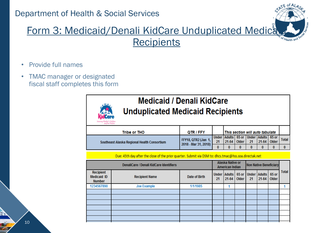

- Provide full names
- TMAC manager or designated fiscal staff completes this form



#### **Medicaid / Denali KidCare Unduplicated Medicaid Recipients**

| and bur Future                              |                                             |    |                                                            |       |    |                 |              |
|---------------------------------------------|---------------------------------------------|----|------------------------------------------------------------|-------|----|-----------------|--------------|
| Tribe or THO                                | QTR / FFY                                   |    | <b>This section will auto tabulate</b>                     |       |    |                 |              |
| Southeast Alaska Regional Health Consortium | FFY18, QTR2 (Jan 1,<br>2018 - Mar 31, 2018) | 21 | Under   Adults   65 or   Under   Adults   65 or<br>$21-64$ | Older | 21 | $21-64$   Older | <b>Total</b> |
|                                             |                                             |    |                                                            |       |    |                 |              |

Due: 45th day after the close of the prior quarter. Submit via DSM to: dhcs.tmac@hss.soa.directak.net

| DenaliCare / Denali KidCare Identifiers |                      |    |           |                |                                                       |       |       |                                                     |
|-----------------------------------------|----------------------|----|-----------|----------------|-------------------------------------------------------|-------|-------|-----------------------------------------------------|
| <b>Recipient Name</b>                   | <b>Date of Birth</b> | 21 | $21 - 64$ | 65 or<br>Older | 21                                                    | 21-64 | Older | <b>Total</b>                                        |
| <b>Joe Example</b>                      | 1/1/1985             |    |           |                |                                                       |       |       |                                                     |
|                                         |                      |    |           |                |                                                       |       |       |                                                     |
|                                         |                      |    |           |                |                                                       |       |       |                                                     |
|                                         |                      |    |           |                |                                                       |       |       |                                                     |
|                                         |                      |    |           |                |                                                       |       |       |                                                     |
|                                         |                      |    |           |                |                                                       |       |       |                                                     |
|                                         |                      |    |           |                |                                                       |       |       |                                                     |
|                                         |                      |    |           |                | Alaska Native or<br>American Indian<br>Under   Adults |       |       | <b>Non Native Beneficiary</b><br>Under Adults 65 or |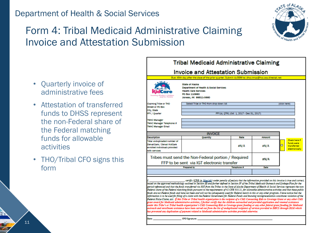#### Form 4: Tribal Medicaid Administrative Claiming Invoice and Attestation Submission



|                                                                                                               | Due: 45th day after the close of the prior quarter. Submit via DSM to: dhcs.tmac@hss.soa.directak.net                                         |                                          |        |                                                                    |
|---------------------------------------------------------------------------------------------------------------|-----------------------------------------------------------------------------------------------------------------------------------------------|------------------------------------------|--------|--------------------------------------------------------------------|
| . 14<br>Instances Alaska's i<br>need Our Faction                                                              | State of Alaska<br><b>Department of Health &amp; Social Services</b><br><b>Health Care Services</b><br>PO Box 110660<br>Juneau, AK 99811-0660 |                                          |        |                                                                    |
| <b>Claiming Tribe or THO</b>                                                                                  | Select Tribe or THO from drop down list                                                                                                       |                                          |        | (click here)                                                       |
| <b>Street or PO Box</b>                                                                                       |                                                                                                                                               |                                          |        |                                                                    |
| City, State                                                                                                   |                                                                                                                                               |                                          |        |                                                                    |
| FFY / Quarter                                                                                                 |                                                                                                                                               | FFY18, OTR1 (Oct 1, 2017 - Dec 31, 2017) |        |                                                                    |
| <b>TMAC Manager</b><br>TMAC Manager Telephone #<br><b>TMAC Manager Email</b>                                  |                                                                                                                                               |                                          |        |                                                                    |
|                                                                                                               | <b>INVOICE</b>                                                                                                                                |                                          |        |                                                                    |
| <b>Description</b>                                                                                            | <b>Ouantity</b>                                                                                                                               | <b>Date</b>                              | Amount |                                                                    |
| Total unduplicated number of<br>DenaliCare / Denali KidCare<br>enrolled individuals provided<br>with services |                                                                                                                                               | #N/A                                     | #N/A   | Check here if<br>funds were.<br>◻<br>transferred<br>electronically |
|                                                                                                               | Tribes must send the Non-Federal portion / Required<br>FFP to be sent via IGT electronic transfer                                             |                                          | #N/A   |                                                                    |
|                                                                                                               |                                                                                                                                               |                                          |        |                                                                    |

certify (CFO in blue ink) under penalty of perjury that the information provided on this invoice is true and correct based on the approved methodology outlined in Section III and further defined in Section IV of the Tribal Medicaid Outreach and Linkage Plan for the period referenced and that the funds transferred via IGT from the Tribes to the State of Alaska Department of Health & Social Services represent the non Federal share of the Federal matching funds pursuant to the requirements of 42 CFR 433.51, for allowable administrative activities and that these public .<br>funds are not Federal funds and have not been and will not be subsequently used for Federal match in this or any other program. I have notice that the formation is to be used for filing of a claim with the Federal Government for Federal Funds and knowing misrepresentation constitutes violation of the .<br>Federal False Claims Act. If this Tribe or Tribal health organization is the recipient of a CMS Connecting Kids to Coverage Grant or any other CMS ant award for Medicaid administrative activities, I further certify that the children outreached and provided application and renew nder this Tribe's or Tribal health organization's CMS Connecting Kids to Coverage grant funding or any other federal grant funding for Medicaid treach and enrollment assistance have been carved out from the list of unduplicated recipients of services provided to DHCS through DSM which s prevented any duplication of payment related to Medicaid administrative activities provided otherwise.

**CFO** Signature:

Data:

- Quarterly invoice of administrative fees
- Attestation of transferred funds to DHSS represent the non-Federal share of the Federal matching funds for allowable activities
- THO/Tribal CFO signs this form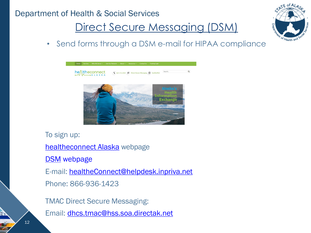# Direct Secure Messaging (DSM)



• Send forms through a DSM e-mail for HIPAA compliance



To sign up: [healtheconnect Alaska](https://www.healtheconnectak.org/) webpage [DSM](http://inpriva.com/inpriva/index.php/ak-dsm-ss2/) webpage E-mail: [healtheConnect@helpdesk.inpriva.net](mailto:healtheConnect@helpdesk.inpriva.net) Phone: 866-936-1423 TMAC Direct Secure Messaging: Email: [dhcs.tmac@hss.soa.directak.net](mailto:dhcs.tmac@hss.soa.directak.net)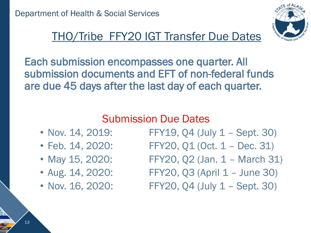

# THO/Tribe FFY20 IGT Transfer Due Dates

Each submission encompasses one quarter. All submission documents and EFT of non-federal funds are due 45 days after the last day of each quarter.

### Submission Due Dates

- 
- 
- 
- 
- 

• Nov. 14, 2019: FFY19, Q4 (July 1 – Sept. 30)

- Feb. 14, 2020: FFY20, Q1 (Oct. 1 Dec. 31)
- May 15, 2020: FFY20, Q2 (Jan. 1 March 31)
- Aug. 14, 2020: FFY20, Q3 (April 1 June 30)
- Nov. 16, 2020: FFY20, 04 (July 1 Sept. 30)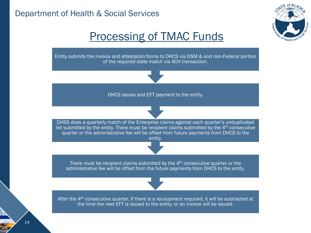

#### Processing of TMAC Funds

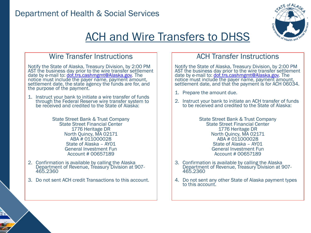

# ACH and Wire Transfers to DHSS

#### Wire Transfer Instructions

Notify the State of Alaska, Treasury Division, by 2:00 PM AST the business day prior to the wire transfer settlement date by e-mail to: [dot.trs.cashmgmt@Alaska.gov.](mailto:dot.trs.cashmgmt@Alaska.gov) The notice must include the payer name, payment amount, settlement date, the state agency the funds are for, and the purpose of the payment.

1. Instruct your bank to initiate a wire transfer of funds through the Federal Reserve wire transfer system to be received and credited to the State of Alaska:

> State Street Bank & Trust Company State Street Financial Center 1776 Heritage DR North Quincy, MA 02171 ABA # 011000028 State of Alaska – AY01 General Investment Fun Account # 00657189

- 2. Confirmation is available by calling the Alaska Department of Revenue, Treasury Division at 907- 465.2360
- 3. Do not sent ACH credit Transactions to this account.

#### ACH Transfer Instructions

Notify the State of Alaska, Treasury Division, by 2:00 PM AST the business day prior to the wire transfer settlement date by e-mail to: [dot.trs.cashmgmt@Alaska.gov.](mailto:dot.trs.cashmgmt@Alaska.gov) The notice must include the payer name, payment amount, settlement date, and that the payment is for ACH 06034.

- 1. Prepare the amount due.
- 2. Instruct your bank to initiate an ACH transfer of funds to be received and credited to the State of Alaska:

State Street Bank & Trust Company State Street Financial Center 1776 Heritage DR North Quincy, MA 02171 ABA # 011000028 State of Alaska – AY01 General Investment Fun Account # 00657189

- 3. Confirmation is available by calling the Alaska Department of Revenue, Treasury Division at 907- 465.2360
- 4. Do not sent any other State of Alaska payment types to this account.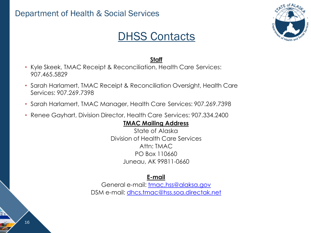

### DHSS Contacts

#### **Staff**

- Kyle Skeek, TMAC Receipt & Reconciliation, Health Care Services: 907.465.5829
- Sarah Harlamert, TMAC Receipt & Reconciliation Oversight, Health Care Services: 907.269.7398
- Sarah Harlamert, TMAC Manager, Health Care Services: 907.269.7398
- Renee Gayhart, Division Director, Health Care Services: 907.334.2400

#### **TMAC Mailing Address**

State of Alaska Division of Health Care Services Attn: TMAC PO Box 110660 Juneau, AK 99811-0660

#### **E-mail**

General e-mail: [tmac.hss@alaksa.gov](mailto:tmac.hss@alaksa.gov) DSM e-mail: [dhcs.tmac@hss.soa.directak.net](mailto:dhcs.tmac@hss.soa.directak.net)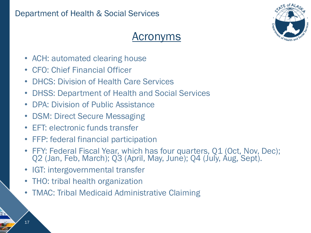

### Acronyms

- ACH: automated clearing house
- CFO: Chief Financial Officer
- DHCS: Division of Health Care Services
- DHSS: Department of Health and Social Services
- DPA: Division of Public Assistance
- DSM: Direct Secure Messaging
- EFT: electronic funds transfer
- FFP: federal financial participation
- FFY: Federal Fiscal Year, which has four quarters, Q1 (Oct, Nov, Dec); Q2 (Jan, Feb, March); Q3 (April, May, June); Q4 (July, Aug, Sept).
- IGT: intergovernmental transfer
- THO: tribal health organization
- TMAC: Tribal Medicaid Administrative Claiming